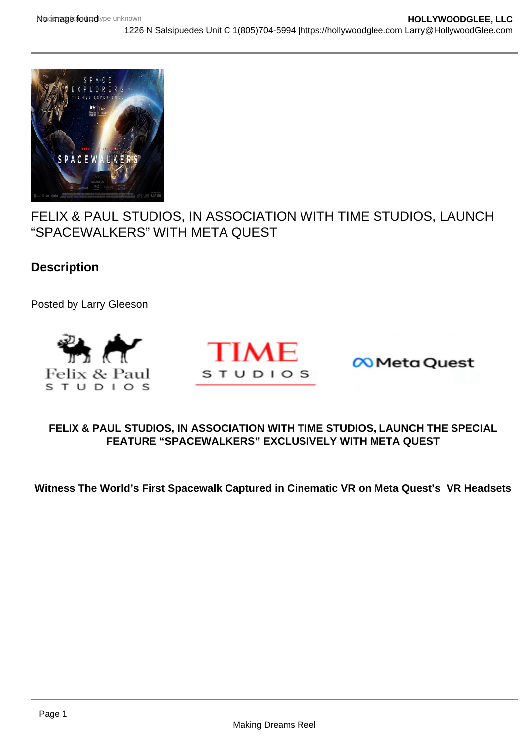# FELIX & PAUL STUDIOS, IN ASSOCIATION WITH TIME STUDIOS, LAUNCH "SPACEWALKERS" WITH META QUEST

**Description** 

Posted by Larry Gleeson

## FELIX & PAUL STUDIOS, IN ASSOCIATION WITH TIME STUDIOS, LAUNCH THE SPECIAL FEATURE "SPACEWALKERS" EXCLUSIVELY WITH META QUEST

Witness The World's First Spacewalk Captured in Cinematic VR on Meta Quest's VR Headsets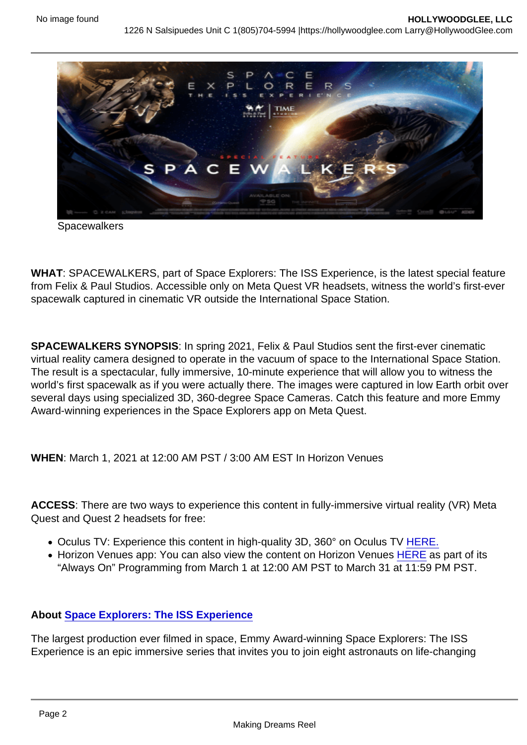**Spacewalkers** 

WHAT: SPACEWALKERS, part of Space Explorers: The ISS Experience, is the latest special feature from Felix & Paul Studios. Accessible only on Meta Quest VR headsets, witness the world's first-ever spacewalk captured in cinematic VR outside the International Space Station.

SPACEWALKERS SYNOPSIS : In spring 2021, Felix & Paul Studios sent the first-ever cinematic virtual reality camera designed to operate in the vacuum of space to the International Space Station. The result is a spectacular, fully immersive, 10-minute experience that will allow you to witness the world's first spacewalk as if you were actually there. The images were captured in low Earth orbit over several days using specialized 3D, 360-degree Space Cameras. Catch this feature and more Emmy Award-winning experiences in the Space Explorers app on Meta Quest.

WHEN: March 1, 2021 at 12:00 AM PST / 3:00 AM EST In Horizon Venues

ACCESS: There are two ways to experience this content in fully-immersive virtual reality (VR) Meta Quest and Quest 2 headsets for free:

- Oculus TV: Experience this content in high-quality 3D, 360° on Oculus TV [HERE.](https://r20.rs6.net/tn.jsp?f=001CGjCFtjo9DIz2oZWxpRvbWPDJ2g-FK779W7fbutTyucjoVh-YcoxFzXGeLtRLrLTokVRxC_tmEcdKE7EqQao9jYUlT5334MFCm4VnYflQoKFOaccKBmCh0pBKfXNwUBw8A-eGAYpYZQ6VpcQoPTtV5DL2hRtGoQzOprTafHpA5yJ5yHf6p83rfUnNhblCVBvOKjCoI7R15g=&c=i224ZD8lPKMyhooOEbWXShzZJSaXHlP3Ws3nlgni2IdtwOYvbC2CoA==&ch=igDneb79oVJ0oc3EI5EJvp4MemMFKKi0UZmJudD7pnDv1mpPu6x5DA==)
- Horizon Venues app: You can also view the content on Horizon Venues [HERE](https://r20.rs6.net/tn.jsp?f=001CGjCFtjo9DIz2oZWxpRvbWPDJ2g-FK779W7fbutTyucjoVh-YcoxFzXGeLtRLrLTcOqyF2dCtebWdykzZp0C5q-QpEFRfP9ujN5B4g0gxtB_rkHEGOIsCIZ2DkVXnEtDvbobOxW8KZuNmS4-3-Vx_s4BgU7ySndx-yExULOlTvELopANngnd0C5MWPTAv9uqe561nQsTiSw=&c=i224ZD8lPKMyhooOEbWXShzZJSaXHlP3Ws3nlgni2IdtwOYvbC2CoA==&ch=igDneb79oVJ0oc3EI5EJvp4MemMFKKi0UZmJudD7pnDv1mpPu6x5DA==) as part of its "Always On" Programming from March 1 at 12:00 AM PST to March 31 at 11:59 PM PST.

About [Space Explorers: The ISS Experience](https://r20.rs6.net/tn.jsp?f=001CGjCFtjo9DIz2oZWxpRvbWPDJ2g-FK779W7fbutTyucjoVh-YcoxF5SQQWBPrCV-g_ZEwVSf_dxu3eswq3eR9LnVeNtEsKWY-haD_fX4QEy6kXsxVOfy8Z4cIhtVyZJpubaXYMbPM9ZodKcl4gowvmeqvXhCPsQEhQRn_J2PB3eL5JNppHFfcvfNuZnlpvBpL_BXLLBy0Qw=&c=i224ZD8lPKMyhooOEbWXShzZJSaXHlP3Ws3nlgni2IdtwOYvbC2CoA==&ch=igDneb79oVJ0oc3EI5EJvp4MemMFKKi0UZmJudD7pnDv1mpPu6x5DA==)

The largest production ever filmed in space, Emmy Award-winning Space Explorers: The ISS Experience is an epic immersive series that invites you to join eight astronauts on life-changing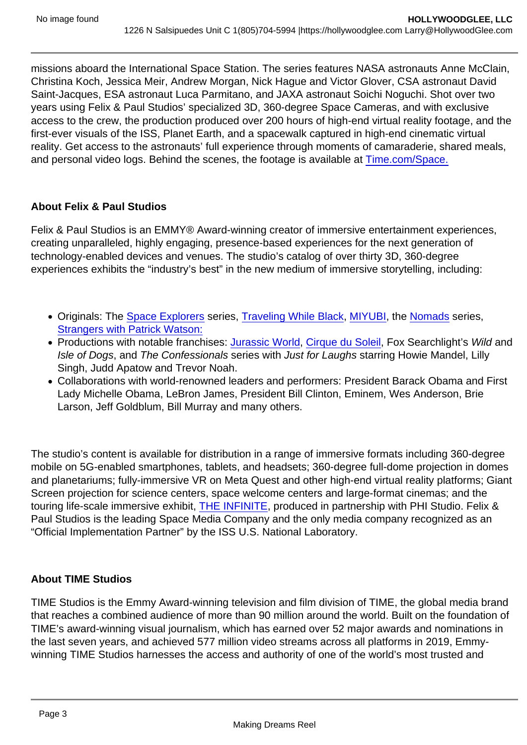missions aboard the International Space Station. The series features NASA astronauts Anne McClain, Christina Koch, Jessica Meir, Andrew Morgan, Nick Hague and Victor Glover, CSA astronaut David Saint-Jacques, ESA astronaut Luca Parmitano, and JAXA astronaut Soichi Noguchi. Shot over two years using Felix & Paul Studios' specialized 3D, 360-degree Space Cameras, and with exclusive access to the crew, the production produced over 200 hours of high-end virtual reality footage, and the first-ever visuals of the ISS, Planet Earth, and a spacewalk captured in high-end cinematic virtual reality. Get access to the astronauts' full experience through moments of camaraderie, shared meals, and personal video logs. Behind the scenes, the footage is available at [Time.com/Space.](https://r20.rs6.net/tn.jsp?f=001CGjCFtjo9DIz2oZWxpRvbWPDJ2g-FK779W7fbutTyucjoVh-YcoxFzXGeLtRLrLTdCgd-eorUOlv4Wr-9ZUsG6twRmzBlJzjM5GSAxG4n4j7AavibeqDweW2suS9al8rZU7Z3Pc2p9c=&c=i224ZD8lPKMyhooOEbWXShzZJSaXHlP3Ws3nlgni2IdtwOYvbC2CoA==&ch=igDneb79oVJ0oc3EI5EJvp4MemMFKKi0UZmJudD7pnDv1mpPu6x5DA==)

### About Felix & Paul Studios

Felix & Paul Studios is an EMMY® Award-winning creator of immersive entertainment experiences, creating unparalleled, highly engaging, presence-based experiences for the next generation of technology-enabled devices and venues. The studio's catalog of over thirty 3D, 360-degree experiences exhibits the "industry's best" in the new medium of immersive storytelling, including:

- Originals: The [Space Explorers](https://r20.rs6.net/tn.jsp?f=001CGjCFtjo9DIz2oZWxpRvbWPDJ2g-FK779W7fbutTyucjoVh-YcoxF5SQQWBPrCV-g_ZEwVSf_dxu3eswq3eR9LnVeNtEsKWY-haD_fX4QEy6kXsxVOfy8Z4cIhtVyZJpubaXYMbPM9ZodKcl4gowvmeqvXhCPsQEhQRn_J2PB3eL5JNppHFfcvfNuZnlpvBpL_BXLLBy0Qw=&c=i224ZD8lPKMyhooOEbWXShzZJSaXHlP3Ws3nlgni2IdtwOYvbC2CoA==&ch=igDneb79oVJ0oc3EI5EJvp4MemMFKKi0UZmJudD7pnDv1mpPu6x5DA==) series, [Traveling While Black](https://r20.rs6.net/tn.jsp?f=001CGjCFtjo9DIz2oZWxpRvbWPDJ2g-FK779W7fbutTyucjoVh-YcoxFzXGeLtRLrLTvSSlKcH6-6NewAvC7ls5_90j3sNXew5H-y4vz9cmwAsfFisHnjwzllAyViXJ5nceN-7Wx1P5NzcNPXEawEuoTuoMLB-dK0ACMChm8EhXNdy0Bla3vxrVxtA-f02IYmSZ&c=i224ZD8lPKMyhooOEbWXShzZJSaXHlP3Ws3nlgni2IdtwOYvbC2CoA==&ch=igDneb79oVJ0oc3EI5EJvp4MemMFKKi0UZmJudD7pnDv1mpPu6x5DA==), [MIYUBI](https://r20.rs6.net/tn.jsp?f=001CGjCFtjo9DIz2oZWxpRvbWPDJ2g-FK779W7fbutTyucjoVh-YcoxFzXGeLtRLrLTlDBVcQAJ-iEZgUqTwZgHhO7ofdz7ZtU2rhEElV6QnqkS0kNnvo52iBfc8syLthHGTEK2RSrAM39hcwdQnCglhVZCYn1kBvcEmKdBIN7UsZR16ZAYrNUCVf9EtEjH0L80&c=i224ZD8lPKMyhooOEbWXShzZJSaXHlP3Ws3nlgni2IdtwOYvbC2CoA==&ch=igDneb79oVJ0oc3EI5EJvp4MemMFKKi0UZmJudD7pnDv1mpPu6x5DA==), the [Nomads](https://r20.rs6.net/tn.jsp?f=001CGjCFtjo9DIz2oZWxpRvbWPDJ2g-FK779W7fbutTyucjoVh-YcoxFzXGeLtRLrLTlDBVcQAJ-iEZgUqTwZgHhO7ofdz7ZtU2rhEElV6QnqkS0kNnvo52iBfc8syLthHGTEK2RSrAM39hcwdQnCglhVZCYn1kBvcEmKdBIN7UsZR16ZAYrNUCVf9EtEjH0L80&c=i224ZD8lPKMyhooOEbWXShzZJSaXHlP3Ws3nlgni2IdtwOYvbC2CoA==&ch=igDneb79oVJ0oc3EI5EJvp4MemMFKKi0UZmJudD7pnDv1mpPu6x5DA==) series, [Strangers with Patrick Watson:](https://r20.rs6.net/tn.jsp?f=001CGjCFtjo9DIz2oZWxpRvbWPDJ2g-FK779W7fbutTyucjoVh-YcoxFzXGeLtRLrLTlDBVcQAJ-iEZgUqTwZgHhO7ofdz7ZtU2rhEElV6QnqkS0kNnvo52iBfc8syLthHGTEK2RSrAM39hcwdQnCglhVZCYn1kBvcEmKdBIN7UsZR16ZAYrNUCVf9EtEjH0L80&c=i224ZD8lPKMyhooOEbWXShzZJSaXHlP3Ws3nlgni2IdtwOYvbC2CoA==&ch=igDneb79oVJ0oc3EI5EJvp4MemMFKKi0UZmJudD7pnDv1mpPu6x5DA==)
- Productions with notable franchises: [Jurassic World](https://r20.rs6.net/tn.jsp?f=001CGjCFtjo9DIz2oZWxpRvbWPDJ2g-FK779W7fbutTyucjoVh-YcoxFzXGeLtRLrLTcoh_qZdQkyT8VdcOH6jAo68Cll_wzn2Zal03NAKbnckSNHiA89W9o6sZavmt4WUUktJgG_thUmYdDJjGIzQz56bLQ840jmA1pPiuly_WOSNTw4yG-Qfg75tkHbFVEQQg&c=i224ZD8lPKMyhooOEbWXShzZJSaXHlP3Ws3nlgni2IdtwOYvbC2CoA==&ch=igDneb79oVJ0oc3EI5EJvp4MemMFKKi0UZmJudD7pnDv1mpPu6x5DA==), [Cirque du Soleil](https://r20.rs6.net/tn.jsp?f=001CGjCFtjo9DIz2oZWxpRvbWPDJ2g-FK779W7fbutTyucjoVh-YcoxFzXGeLtRLrLTnDE0mMzQBNoIWiEqg5Uml4VVLJdZlYCijndwPx8p-mF1oGYJ_TTr38UCzcA3u18hhq-KngqdLuxNXOD1bRtVlnt1SEzCr-iYEGDYQerBUwhSXAUr936qwpcaOs_VUUoU&c=i224ZD8lPKMyhooOEbWXShzZJSaXHlP3Ws3nlgni2IdtwOYvbC2CoA==&ch=igDneb79oVJ0oc3EI5EJvp4MemMFKKi0UZmJudD7pnDv1mpPu6x5DA==), Fox Searchlight's Wild and Isle of Dogs, and The Confessionals series with Just for Laughs starring Howie Mandel, Lilly Singh, Judd Apatow and Trevor Noah.
- Collaborations with world-renowned leaders and performers: President Barack Obama and First Lady Michelle Obama, LeBron James, President Bill Clinton, Eminem, Wes Anderson, Brie Larson, Jeff Goldblum, Bill Murray and many others.

The studio's content is available for distribution in a range of immersive formats including 360-degree mobile on 5G-enabled smartphones, tablets, and headsets; 360-degree full-dome projection in domes and planetariums; fully-immersive VR on Meta Quest and other high-end virtual reality platforms; Giant Screen projection for science centers, space welcome centers and large-format cinemas; and the touring life-scale immersive exhibit, [THE INFINITE](https://r20.rs6.net/tn.jsp?f=001CGjCFtjo9DIz2oZWxpRvbWPDJ2g-FK779W7fbutTyucjoVh-YcoxF40inJloOc5QcKyszRvp4n4LRooMgcdRvjbWVfPgmsFa8eIoxocOPuN7lbjJHoSWa2RGm08ZhIE6rUmFKn7dH1ZndznO4go76R2AXhUDvkMd&c=i224ZD8lPKMyhooOEbWXShzZJSaXHlP3Ws3nlgni2IdtwOYvbC2CoA==&ch=igDneb79oVJ0oc3EI5EJvp4MemMFKKi0UZmJudD7pnDv1mpPu6x5DA==), produced in partnership with PHI Studio. Felix & Paul Studios is the leading Space Media Company and the only media company recognized as an "Official Implementation Partner" by the ISS U.S. National Laboratory.

### About TIME Studios

TIME Studios is the Emmy Award-winning television and film division of TIME, the global media brand that reaches a combined audience of more than 90 million around the world. Built on the foundation of TIME's award-winning visual journalism, which has earned over 52 major awards and nominations in the last seven years, and achieved 577 million video streams across all platforms in 2019, Emmywinning TIME Studios harnesses the access and authority of one of the world's most trusted and